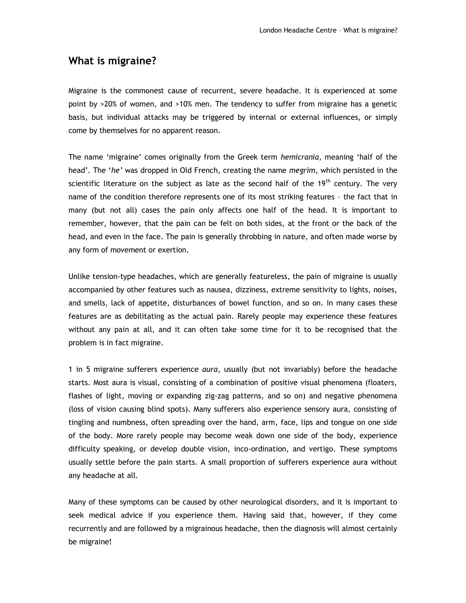## **What is migraine?**

Migraine is the commonest cause of recurrent, severe headache. It is experienced at some point by >20% of women, and >10% men. The tendency to suffer from migraine has a genetic basis, but individual attacks may be triggered by internal or external influences, or simply come by themselves for no apparent reason.

The name 'migraine' comes originally from the Greek term *hemicrania*, meaning 'half of the head'. The '*he'* was dropped in Old French, creating the name *megrim*, which persisted in the scientific literature on the subject as late as the second half of the  $19<sup>th</sup>$  century. The very name of the condition therefore represents one of its most striking features – the fact that in many (but not all) cases the pain only affects one half of the head. It is important to remember, however, that the pain can be felt on both sides, at the front or the back of the head, and even in the face. The pain is generally throbbing in nature, and often made worse by any form of movement or exertion.

Unlike tension-type headaches, which are generally featureless, the pain of migraine is usually accompanied by other features such as nausea, dizziness, extreme sensitivity to lights, noises, and smells, lack of appetite, disturbances of bowel function, and so on. In many cases these features are as debilitating as the actual pain. Rarely people may experience these features without any pain at all, and it can often take some time for it to be recognised that the problem is in fact migraine.

1 in 5 migraine sufferers experience *aura*, usually (but not invariably) before the headache starts. Most aura is visual, consisting of a combination of positive visual phenomena (floaters, flashes of light, moving or expanding zig-zag patterns, and so on) and negative phenomena (loss of vision causing blind spots). Many sufferers also experience sensory aura, consisting of tingling and numbness, often spreading over the hand, arm, face, lips and tongue on one side of the body. More rarely people may become weak down one side of the body, experience difficulty speaking, or develop double vision, inco-ordination, and vertigo. These symptoms usually settle before the pain starts. A small proportion of sufferers experience aura without any headache at all.

Many of these symptoms can be caused by other neurological disorders, and it is important to seek medical advice if you experience them. Having said that, however, if they come recurrently and are followed by a migrainous headache, then the diagnosis will almost certainly be migraine!